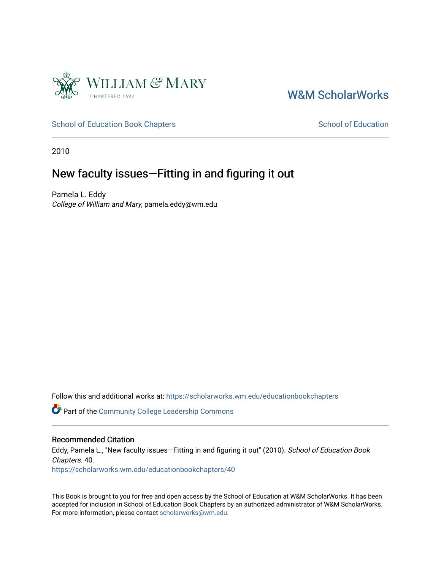

## [W&M ScholarWorks](https://scholarworks.wm.edu/)

[School of Education Book Chapters](https://scholarworks.wm.edu/educationbookchapters) [School of Education](https://scholarworks.wm.edu/education) School of Education

2010

## New faculty issues—Fitting in and figuring it out

Pamela L. Eddy College of William and Mary, pamela.eddy@wm.edu

Follow this and additional works at: [https://scholarworks.wm.edu/educationbookchapters](https://scholarworks.wm.edu/educationbookchapters?utm_source=scholarworks.wm.edu%2Feducationbookchapters%2F40&utm_medium=PDF&utm_campaign=PDFCoverPages)

Part of the [Community College Leadership Commons](http://network.bepress.com/hgg/discipline/1039?utm_source=scholarworks.wm.edu%2Feducationbookchapters%2F40&utm_medium=PDF&utm_campaign=PDFCoverPages)

#### Recommended Citation

Eddy, Pamela L., "New faculty issues—Fitting in and figuring it out" (2010). School of Education Book Chapters. 40.

[https://scholarworks.wm.edu/educationbookchapters/40](https://scholarworks.wm.edu/educationbookchapters/40?utm_source=scholarworks.wm.edu%2Feducationbookchapters%2F40&utm_medium=PDF&utm_campaign=PDFCoverPages) 

This Book is brought to you for free and open access by the School of Education at W&M ScholarWorks. It has been accepted for inclusion in School of Education Book Chapters by an authorized administrator of W&M ScholarWorks. For more information, please contact [scholarworks@wm.edu](mailto:scholarworks@wm.edu).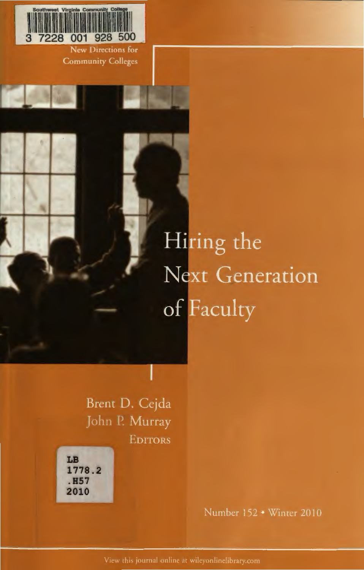

**New Directions for Community Colleges** 

# Hiring the **Next Generation** of Faculty

Brent D. Cejda John P. Murray EDITORS

**LB 1778.2 .H57 2010** 

Number 152 · Winter 2010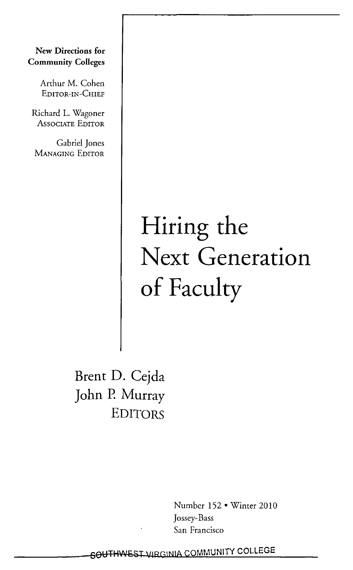#### **New Directions for Community Colleges**

Arthur M. Cohen EDITOR-IN-CHIEF

Richard L. Wagoner ASSOCIATE EDITOR

Gabriel Jones MANAGING EDITOR

# **Hiring the Next Generation of Faculty**

Brent D. Cejda John P. Murray EDITORS

> Number 152 • Winter 2010 Jossey-Bass San Francisco

SOUTHWEST VIRGINIA COMMUNITY COLLEGE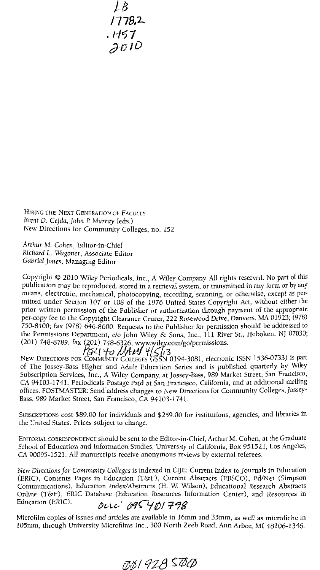*t/3*  **/778,2-.**  . *,-111*   $2010$ 

HIRING THE NEXT GENERATION OF FACULTY *Brent* D. *Cejda, John* P. *Murray* (eds.) New Directions for Community Colleges, no. 152

Bass, *989* Market Street, San Francisco, CA 94103-1741.

*Arthur* M. *Cohen,* Editor-in-Chief *Richard* L. *Wagoner,* Associate Editor *Gabriel Jones,* Managing Editor

Copyright © 2010 Wiley Periodicals, Inc., A Wiley Company. All rights reserved. No part of this publication may be reproduced, stored in a retrieval system, or transmitted in any form or by any means, electronic, mechanical, photocopying, recording, scanning, or otherwise, except as permitted under Section 107 or 108 of the 1976 United States Copyright Act, without either the prior written permission of the Publisher or authorization through payment of the appropriate per-copy fee to the Copyright Clearance Center, 222 Rosewood Drive, Danvers, MA 01923; (978) 750-8400; fax (978) 646-8600. Requests to the Publisher for permission should be addressed to the Permissions Department, *do* John Wiley & Sons, Inc., Ill River St., Hoboken, NJ 07030; (201) 748-8789, fax (201) 748-6326, www.wiley.com/go/permissions.

ru<t Yo JJrri·Y *tf* ,3 . NEW DIRECTIONS FOR COMMUNITY COLLEGES *(1s* N 0194-3081, electronic ISSN 1536-0733) IS part of The Jossey-Bass Higher and Adult Education Series and is published quarterly by Wiley Subscription Services, Inc., *A* Wiley Company, at Jossey-Bass, *989* Market Street, San Francisco, CA 94103-1741. Periodicals Postage Paid at San Francisco, California, and at additional mailing offices. POSTMASTER: Send.address changes to New Directions for Community Colleges,Jossey-

SUBSCRIPTIONS cost \$89.00 for individuals and \$259.00 for institutions, agencies, and libraries in the United States. Prices subject to change.

EDITORIAL CORRESPONDENCE should be sent to the Editor-in-Chief, Arthur M. Cohen, at the Graduate School of Education and Information Studies, University of California, Box 951521, Los Angeles, CA 90095-1521. All manuscripts receive anonymous reviews by external referees.

*New Directions for Community Colleges* is indexed in CljE: Current Index to Journals in Education (ERIC), Contents Pages in Education (T&F), Current Abstracts (EBSCO), Ed/Net (Simpson Communications), Education Index/Abstracts (H. W. Wilson), Educational Research Abstracts Online (T&F), ERIC Database (Education Resources Information Center), and Resources in Education (ERIC).  $\theta$ *LLC*  $\theta$ **35401798** 

Microfilm copies of issues and articles are available in 16mm and 35mm, as well as microfiche in 105mm, through University Microfilms Inc., 300 North Zeeb Road, Ann Arbor, MI 48106-1346.

**OB1928500**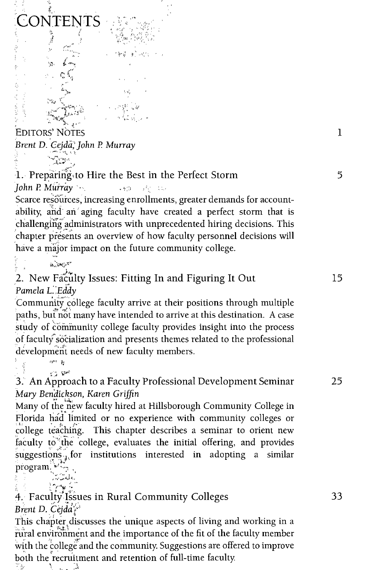# **CONTENTS**

 $\mathbf{y}$  $\mathcal{M}$ 

**EDITORS' NOTES** Brent D. Cejdã, John P. Murray

্রিয়েন

 $\alpha_{\rm{max}}$ 

1. Preparing to Hire the Best in the Perfect Storm John P. Murray → 配用 ショウビーズル

Scarce resources, increasing enrollments, greater demands for accountability, and an aging faculty have created a perfect storm that is challenging administrators with unprecedented hiring decisions. This chapter presents an overview of how faculty personnel decisions will have a major impact on the future community college.

2. New Faculty Issues: Fitting In and Figuring It Out Pamela L. Eddy

Community college faculty arrive at their positions through multiple paths, but not many have intended to arrive at this destination. A case study of community college faculty provides insight into the process of faculty socialization and presents themes related to the professional development needs of new faculty members.

**CONTROL** 3. An Approach to a Faculty Professional Development Seminar Mary Bendickson, Karen Griffin

Many of the new faculty hired at Hillsborough Community College in Florida had limited or no experience with community colleges or college teaching. This chapter describes a seminar to orient new faculty to the college, evaluates the initial offering, and provides suggestions for institutions interested in adopting a similar program.

4. Faculty Issues in Rural Community Colleges Brent D. Ceida': <sup>2</sup>

This chapter discusses the unique aspects of living and working in a rural environment and the importance of the fit of the faculty member with the college and the community. Suggestions are offered to improve both the recruitment and retention of full-time faculty.

فسيت

 $\mathbf 1$ 

5

15

25

33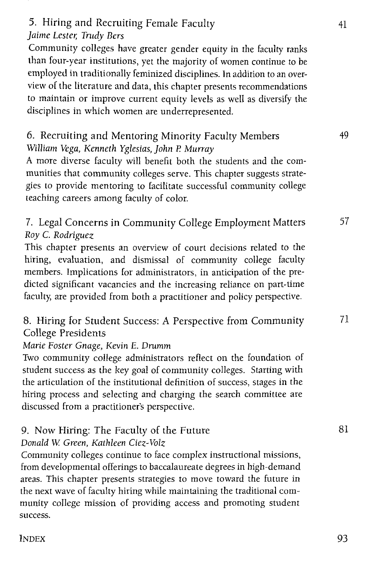### 5. Hiring and Recruiting Female Faculty 41

#### *Jaime Lester, Trudy Bers*

Community colleges have greater gender equity in the faculty ranks than four-year institutions, yet the majority of women continue to be employed in traditionally feminized disciplines. In addition to an overview of the literature and data, this chapter presents recommendations to maintain or improve current equity levels as well as diversify the disciplines in which women are underrepresented.

#### 6. Recruiting and Mentoring Minority Faculty Members 49 *William Vega, Kenneth Yglesias, John* P. *Murray*

A more diverse faculty will benefit both the students and the communities that community colleges serve. This chapter suggests strategies to provide mentoring to facilitate successful community college teaching careers among faculty of color.

#### 7. Legal Concerns in Community College Employment Matters 57 *Roy* C. *Rodriguez*

This chapter presents an overview of court decisions related to the hiring, evaluation, and dismissal of community college faculty members. Implications for administrators, in anticipation of the predicted significant vacancies and the increasing reliance on part-time faculty, are provided from both a practitioner and policy perspective.

#### 8. Hiring for Student Success: A Perspective from Community 71 College Presidents

#### *Marie Foster Gnage, Kevin* E. *Drumm*

Two community college administrators reflect on the foundation of student success as the key goal of community colleges. Starting with the articulation of the institutional definition of success, stages in the hiring process and selecting and charging the search committee are discussed from a practitioner's perspective.

#### 9. Now Hiring: The Faculty of the Future 81 *Donald* W *Green, Kathleen Ciez-Volz*

Community colleges continue to face complex instructional missions, from developmental offerings to baccalaureate degrees in high-demand areas. This chapter presents strategies to move toward the future in the next wave of faculty hiring while maintaining the traditional community college mission of providing access and promoting student success.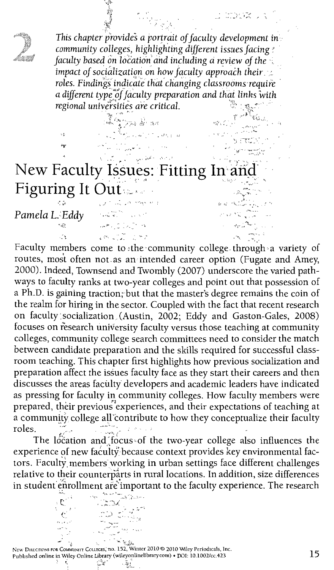

*This chapter provides a portrait of faculty development in community colleges, highlighting different issues facing* ; *faculty based on location and including a review of the impact of socialization on how faculty approach their. roles. Findings· indicate that changing classmomsrequire* . *a different typ\_(pffaculty preparation and that links with regional universities are critical.* •·ti>,.

 $\pm$  and state  $\pm$  a

# New Faculty Issues: Fitting In and  $\text{Figure 11}$  Out:

فاستيكري وهمد

Pamela *L,:Eddy* 

**SS** 

 $45.12 \times 10^{-2}$ Faculty members come to :the-community college, through•a variety of routes, mos't often not as an intended career option (Fugate and Amey, 2000). Indeed, Townsend and Twombly (2007) underscore the varied pathways to faculty ranks at two-year colleges and point out that possession of a Ph.D. is gaining traction;·but that the master's degree remains the coin of the realm for hiring in the sector. Coupled with the fact that recent research on faculty :socialization (Austin, 2002; Eddy and Gaston-Gales, 2008) focuses on research university faculty versus those teaching at community colleges, community college search committees need to consider the match between candidate preparation and the skills required for successful classroom teaching. This chapter first highlights how previous socialization and preparation affect the issues faculty face as they start their careers and then discusses the areas faculty developers and academic leaders have indicated as pressing for faculty in community colleges. How faculty members were prepared, their previous experiences, and their expectations of teaching at  $\alpha$  community, college all contribute to how they conceptualize their faculty roles. ;·:, - . -:.::: .- . .

The location and focus of the two-year college also influences the experience of new faculty because context provides key environmental factors. Faculty members working in urban settings face different challenges relative to their counterparts in rural locations. In addition, size differences in student enrollment are important to the faculty experience. The research

- ·, •. .' -~\Jh,,, NEW DIRECTIONS FOR COMMUNITY COLLEGES, no. 152, Winter 2010 © 2010 Wiley Periodicals, Inc. Published online in Wiley Online Library (wileyonlinelibrarycom) • DOI: 10.1002/cc.423<br> $\frac{1}{\sqrt{2}}\cdot\frac{1}{\sqrt{2}}$ 

t: *,. \_\_ .\_)* .::.'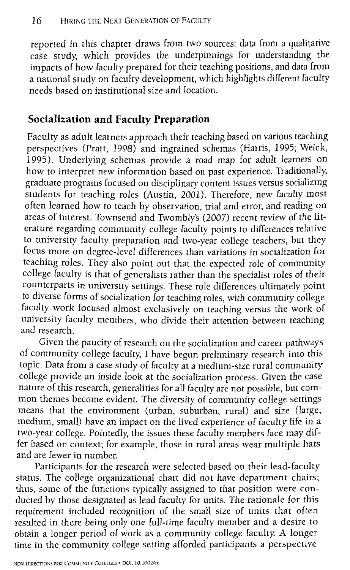reported in this chapter draws from two sources: data from a qualitative case study, which provides the underpinnings for understanding the impacts of how faculty prepared for their teaching positions, and data from a national study on faculty development, which highlights different faculty needs based on institutional size and location.

### **Socialization and Faculty Preparation**

Faculty as adult learners approach their teaching based on various teaching perspectives (Pratt, 1998) and ingrained schemas (Harris, 1995; Weick, 1995). Underlying schemas provide a road map for adult learners on how to interpret new information based on past experience. Traditionally, graduate programs focused on disciplinary content issues versus socializing students for teaching roles (Austin, 2001). Therefore, new faculty most often learned how to teach by observation, trial and error, and reading on areas of interest. Townsend and Twombly's (2007) recent review of the literature regarding community college faculty points to differences relative *to* university faculty preparation and two-year college teachers, but they focus more on degree-level differences than variations in socialization for teaching roles. They also point out that the expected role of community college faculty is that of generalists rather than the specialist roles of their counterparts in university settings. These role differences ultimately point to diverse forms of socialization for teaching roles, with community college faculty work focused almost exclusively on teaching versus the work of university faculty members, who divide their attention between teaching and research.

Given the paucity of research on the socialization and career pathways of community college faculty, I have begun preliminary research into this topic. Data from a case study of faculty at a medium-size rural community college provide an inside look at the socialization process. Given the case nature of this research, generalities for all faculty are not possible, but common themes become evident. The diversity of community college settings means that the environment (urban, suburban, rural) and size (large, medium, small) have an impact on the lived experience of faculty life in a two-year college. Pointedly, the issues these faculty members face may differ based on context; for example, those in rural areas wear multiple hats and are fewer in number.

Participants for the research were selected based on their lead-faculty status. The college organizational chart did not have department chairs; thus, some of the functions typically assigned to that position were conducted by those designated as lead faculty for units. The rationale for this requirement included recognition of the small size of units that often resulted in there being only one full-time faculty member and a desire to obtain a longer period of work as a community college faculty. A longer time in the community college setting afforded participants a perspective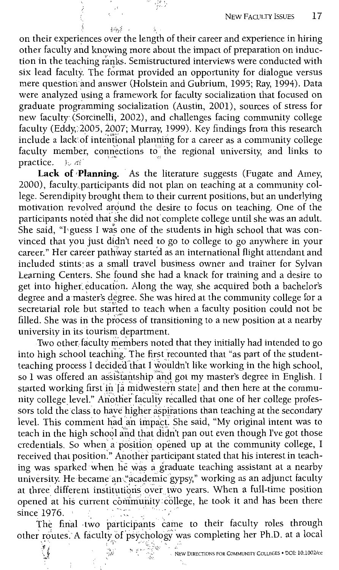on their experiences over the length of their career and experience in hiring other faculty and knowing more about the impact of preparation on induction in the teaching ranks. Semistructured interviews were conducted with six lead faculty. The format provided an opportunity for dialogue versus mere question and answer (Holstein and Gubrium, 1995; Ray, 1994). Data were analyzed using a framework for faculty socialization that focused on graduate programming socialization (Austin, 2001), sources of stress for new faculty (Sorcinelli, 2002), and challenges facing community college faculty (Eddy, 2005, 2007; Murray, 1999). Key findings from this research include a lack of intentional planning for a career as a community college faculty member, connections to the regional university, and links to practice.  $\Box$  *m*<sup>2</sup>

 $\{P_{\mathcal{W}}\}$  ;

Lack of Planning. As the literature suggests (Fugate and Amey, 2000), faculty. participants did not plan on teaching at a community college. Serendipity brought them to their current positions, but an underlying motivation revolved around the desire to focus on teaching. One of the participants noted that she did not complete college until she was an adult. She said, "I,guess I was one of the students in high school that was convinced that you just didn't need to go to college to go anywhere in your career." Her career pathway started as an international flight attendant and included stints: as a small travel business owner and trainer for Sylvan Learning Centers. She found she had a knack for training and a desire to get into higher education. Along the way, she acquired both a bachelor's degree and a master's degree. She was hired at the community college for a secretarial role but started to teach when a faculty position could not be filled. She was in the process of transitioning to a new position at a nearby university in its tourism department.

Two other. faculty members noted that they initially had intended to go into high school teaching:' The first recounted that "as part of the studentteaching process I decided that I wouldn't like working in the high school, so 1 was offered an assistantship and got my master's degree in English. I started working first in [a midwestern state] and then here at the community college level." Another faculty recalled that one of her college professors told the class to have higher aspirations than teaching at the secondary level. This comment had an impact. She said, "My original intent was to teach in the high school and that didn't pan out even though I've got those credentials. So when a position opened up at the community college, I received that position." Another participant stated that his interest in teaching was sparked when he was a graduate teaching assistant at a nearby university. He became an "academic gypsy," working as an adjunct faculty at three different institutions over two years. When a full-time position opened at his current community college, he took it and has been there since 1976.

The final two participants came to their faculty roles through other routes. A faculty of psychology was completing her Ph.D. at a local

\:.·::-\-::\_· ,.,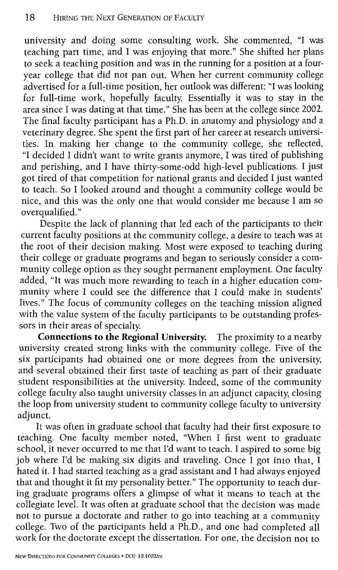university and doing some consulting work. She commented, "I was teaching part time, and I was enjoying that more." She shifted her plans to seek a teaching position and was in the running for a position at a fouryear college that did not pan out. When her current community college advertised for a full-time position, her outlook was different: "I was looking for full-time work, hopefully faculty. Essentially it was to stay in the area since I was dating at that time." She has been at the college since 2002. The final faculty participant has a Ph.D. in anatomy and physiology and a veterinary degree. She spent the first part of her career at research universities. In making her change to the community college, she reflected, "I decided I didn't want to write grants anymore, I was tired of publishing and perishing, and I have thirty-some-odd high-level publications. I just got tired of that competition for national grants and decided I just wanted to teach. So I looked around and thought a community college would be nice, and this was the only one that would consider me because I am so overqualified."

Despite the lack of planning that led each of the participants to their current faculty positions at the community college, a desire to teach was at the root of their decision making. Most were exposed to teaching during their college or graduate programs and began to seriously consider a community college option as they sought permanent employment. One faculty added, "It was much more rewarding to teach in a higher education community where I could see the difference that I could make in students' lives." The focus of community colleges on the teaching mission aligned with the value system of the faculty participants to be outstanding professors in their areas of specialty.

**Connections to the Regional University.** The proximity to a nearby university created strong links with the community college. Five of the six participants had obtained one or more degrees from the university, and several obtained their first taste of teaching as part of their graduate student responsibilities at the university. Indeed, some of the community college faculty also taught university classes in an adjunct capacity, closing the loop from university student to community college faculty to university adjunct.

It was often in graduate school that faculty had their first exposure to teaching. One faculty member noted, "When I first went to graduate school, it never occurred to me that I'd want to teach. I aspired to some big job where I'd be making six digits and traveling. Once I got into that, I hated it. I had started teaching as a grad assistant and I had always enjoyed that and thought it fit my personality better." The opportunity to teach during graduate programs offers a glimpse of what it means to teach at the collegiate level. It was often at graduate school that the decision was made not to pursue a doctorate and rather to go into teaching at a community college. Two of the participants held a Ph.D., and one had completed all work for the doctorate except the dissertation. For one, the decision not to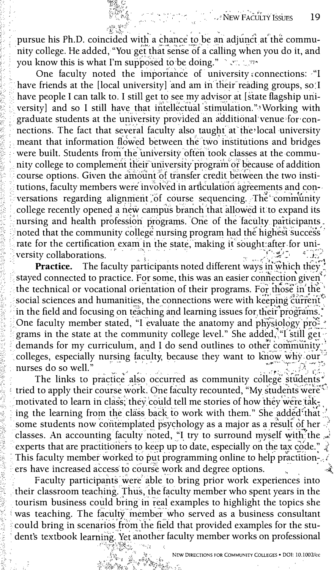pursue his Ph.D. coincided with a chance to be an adjunct at the community college. He added, "You get that sense of a calling when you do it, and you know this is what I'm supposed to be doing."

One faculty noted the importance of university connections: "I have friends at the [local university] and am in their reading groups, so [I have people I can talk to. I still get to see my advisor at [state flagship university] and so I still have that intellectual stimulation." Working with graduate students at the university provided an additional venue for connections. The fact that several faculty also taught at the local university meant that information flowed between the two institutions and bridges were built. Students from the university often took classes at the community college to complement their university program or because of addition course options. Given the amount of transfer credit between the two institutions, faculty members were involved in articulation agreements and conversations regarding alignment of course sequencing. The community college recently opened a new campus branch that allowed it to expand its nursing and health profession programs. One of the faculty participants. noted that the community college nursing program had the highest success rate for the certification exam in the state, making it sought after for university collaborations.

**Practice.** The faculty participants noted different ways in which they stayed connected to practice. For some, this was an easier connection given the technical or vocational orientation of their programs. For those in the social sciences and humanities, the connections were with keeping current in the field and focusing on teaching and learning issues for their programs. One faculty member stated, "I evaluate the anatomy and physiology programs in the state at the community college level." She added, "I still get demands for my curriculum, and I do send outlines to other community colleges, especially nursing faculty, because they want to know why our nurses do so well.'

The links to practice also occurred as community college students tried to apply their course work. One faculty recounted, "My students were motivated to learn in class; they could tell me stories of how they were taking the learning from the class back to work with them." She added that some students now contemplated psychology as a major as a result of her classes. An accounting faculty noted, "I try to surround myself with the experts that are practitioners to keep up to date, especially on the tax code." This faculty member worked to put programming online to help practitioners have increased access to course work and degree options.

Faculty participants were able to bring prior work experiences into their classroom teaching. Thus, the faculty member who spent years in the tourism business could bring in real examples to highlight the topics she was teaching. The faculty member who served as a business consultant could bring in scenarios from the field that provided examples for the student's textbook learning. Yet another faculty member works on professional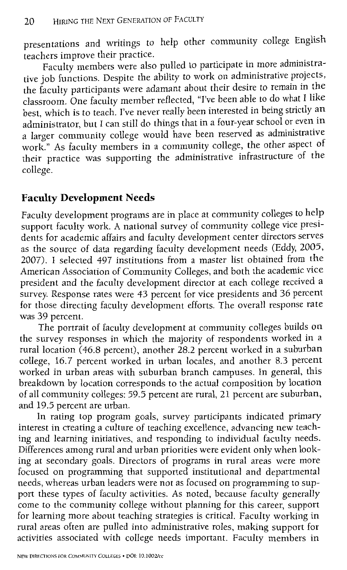presentations and writings to help other community college English teachers improve their practice.

Faculty members were also pulled to participate in more administrative job functions. Despite the ability to work on administrative projects, the faculty participants were adamant about their desire to remain in the classroom. One faculty member reflected, "I've been able to do what I like best, which is to teach. I've never really been interested in being strictly an administrator, but I can still do things that in a four-year school or even in a larger community college would have been reserved as administrative work." As faculty members in a community college, the other aspect of their practice was supporting the administrative infrastructure of the college.

#### **Faculty Development Needs**

Faculty development programs are in place at community colleges to help support faculty work. A national survey of community college vice presidents for academic affairs and faculty development center directors serves as the source of data regarding faculty development needs (Eddy, 2005, 2007). I selected 497 institutions from a master list obtained from the American Association of Community Colleges, and both the academic vice president and the faculty development director at each college received a survey. Response rates were 43 percent for vice presidents and 36 percent for those directing faculty development efforts. The overall response rate was 39 percent.

The portrait of faculty development at community colleges builds on the survey responses in which the majority of respondents worked in a rural location ( 46.8 percent), another 28.2 percent worked in a suburban college, 16.7 percent worked in urban locales, and another 8.3 percent worked in urban areas with suburban branch campuses. In general, this breakdown by location corresponds to the actual composition by location of all community colleges: 59.5 percent are rural, 21 percent are suburban, and 19.5 percent are urban.

In rating top program goals, survey participants indicated primary interest in creating a culture of teaching excellence, advancing new teaching and learning initiatives, and responding to individual faculty needs. Differences among rural and urban priorities were evident only when looking at secondary goals. Directors of programs in rural areas were more focused on programming that supported institutional and departmental needs, whereas urban leaders were not as focused on programming to support these types of faculty activities. As noted, because faculty generally come to the community college without planning for this career, support for learning more about teaching strategies is critical. Faculty working in rural areas often are pulled into administrative roles, making support for activities associated with college needs important. Faculty members in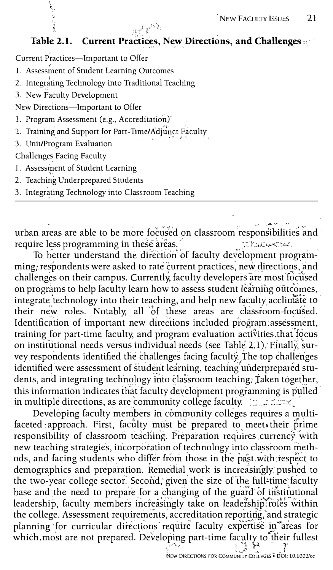#### $\mathcal{W}^{k_{\text{ref}}(k)}$ **Current Practices, New Directions, and Challenges Table 2.1.**

Current Practices-Important to Offer

1. Assessment of Student Learning Outcomes

2. Integrating Technology into Traditional Teaching

3. New Faculty Development

New Directions-Important to Offer

1. Program Assessment (e.g., Accreditation)<sup>"</sup>

2. Training and Support for Part-Time/Adjunct Faculty

3. Unit/Program Evaluation

Challenges Facing Faculty

- 1. Assessment of Student Learning
- 2. Teaching Underprepared Students
- 3. Integrating Technology into Classroom Teaching

urban areas are able to be more focused on classroom responsibilities and require less programming in these areas. ire less programming in these areas.<br>To better understand the direction of faculty development program-

ming; respondents were asked to rate current practices, new directions, and challenges on their campus. Currently, faculty developers are most focused on programs to help faculty learn how to assess student learning outcomes, integrate technology into their teaching, and help new faculty acclimate to their new roles. Notably, all of these areas are classroom-focused. Identification of important new directions included program assessment, training for part-time faculty, and program evaluation activities that focus on institutional needs versus individual needs (see Table 2.1). Finally, survey respondents identified the challenges facing faculty. The top challenges identified were assessment of student learning, teaching underprepared students, and integrating technology into classroom teaching. Taken together, this information indicates that faculty development programming is pulled in multiple directions, as are community college faculty.  $\therefore$ 

Developing faculty members in community colleges requires a multifaceted approach. First, faculty must be prepared to meet their prime responsibility of classroom teaching. Preparation requires currency with new teaching strategies, incorporation of technology into classroom methods, and facing students who differ from those in the past with respect to demographics and preparation. Remedial work is increasingly pushed to the two-year college sector. Second, given the size of the full-time faculty base and the need to prepare for a changing of the guard of institutional leadership, faculty members increasingly take on leadership roles within the college. Assessment requirements, accreditation reporting, and strategic planning for curricular directions require faculty expertise in areas for which most are not prepared. Developing part-time faculty to their fullest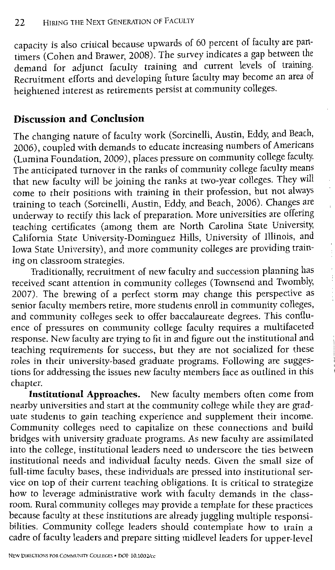capacity is also critical because upwards of 60 percent of faculty are parttimers (Cohen and Brawer, 2008). The survey indicates a gap between the demand for adjunct faculty training and current levels of training. Recruitment efforts and developing future faculty may become an area of heightened interest as retirements persist at community colleges.

#### **Discussion and Conclusion**

The changing nature of faculty work (Sorcinelli, Austin, Eddy, and Beach, 2006), coupled with demands to educate increasing numbers of Americans (Lumina Foundation, 2009), places pressure on community college faculty. The anticipated turnover in the ranks of community college faculty means that new faculty will be joining the ranks at two-year colleges. They will come to their positions with training in their profession, but not always training to teach (Sorcinelli, Austin, Eddy, and Beach, 2006). Changes are underway to rectify this lack of preparation. More universities are offering teaching certificates (among them are North Carolina State University, California State University-Dominguez Hills, University of Illinois, and Iowa State University), and more community colleges are providing training on classroom strategies.

Traditionally, recruitment of new faculty and succession planning has received scant attention in community colleges (Townsend and Twombly, 2007). The brewing of a perfect storm may change this perspective as senior faculty members retire, more students enroll in community colleges, and community colleges seek to offer baccalaureate degrees. This confluence of pressures on community college faculty requires a multifaceted response. New faculty are trying to fit in and figure out the institutional and teaching requirements for success, but they are not socialized for these roles in their university-based graduate programs. Following are suggestions for addressing the issues new faculty members face as outlined in this chapter.

**Institutional Approaches.** New faculty members often come from nearby universities and start at the community college while they are graduate students to gain teaching experience and supplement their income. Community colleges need to capitalize on these connections and build bridges with university graduate programs. As new faculty are assimilated into the college, institutional leaders need to underscore the ties between institutional needs and individual faculty needs. Given the small size of full-time faculty bases, these individuals are pressed into institutional service on top of their current teaching obligations. It is critical to strategize how to leverage administrative work with faculty demands in the classroom. Rural community colleges may provide a template for these practices because faculty at these institutions are already juggling multiple responsibilities. Community college leaders should contemplate how to train a cadre of faculty leaders and prepare sitting midlevel leaders for upper-level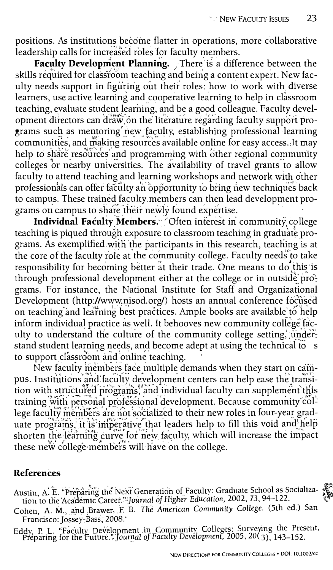positions. As institutions become flatter in operations, more collaborative leadership calls for increased roles for faculty members.

Faculty Development Planning. There is a difference between the skills required for classroom teaching and being a content expert. New faculty needs support in figuring out their roles: how to work with diverse learners, use active learning and cooperative learning to help in classroom teaching, evaluate student learning, and be a good colleague. Faculty development directors can draw on the literature regarding faculty support programs such as mentoring new faculty, establishing professional learning communities, and making resources available online for easy access. It may help to share resources and programming with other regional community colleges or nearby universities. The availability of travel grants to allow faculty to attend teaching and learning workshops and network with other professionals can offer faculty an opportunity to bring new techniques back to campus. These trained faculty members can then lead development programs on campus to share their newly found expertise.

Individual Faculty Members. Often interest in community college teaching is piqued through exposure to classroom teaching in graduate programs. As exemplified with the participants in this research, teaching is at the core of the faculty role at the community college. Faculty needs to take responsibility for becoming better at their trade. One means to do this is through professional development either at the college or in outside programs. For instance, the National Institute for Staff and Organizational Development (http://www.nisod.org/) hosts an annual conference focused on teaching and learning best practices. Ample books are available to help inform individual practice as well. It behooves new community college faculty to understand the culture of the community college setting, understand student learning needs, and become adept at using the technical to s to support classroom and online teaching.

New faculty members face multiple demands when they start on campus. Institutions and faculty development centers can help ease the transition with structured programs, and individual faculty can supplement this training with personal professional development. Because community college faculty members are not socialized to their new roles in four-year graduate programs, it is imperative that leaders help to fill this void and help shorten the learning curve for new faculty, which will increase the impact these new college members will have on the college.

#### **References**

- Austin, A. E. "Preparing the Next Generation of Faculty: Graduate School as Socializa-
- Cohen, A. M., and Brawer, F. B. The American Community College. (5th ed.) San Francisco: Jossey-Bass, 2008.
- Eddy, P. L. "Faculty Development in Community Colleges: Surveying the Present, Preparing for the Future." Journal of Faculty Development, 2005, 20(3), 143-152.